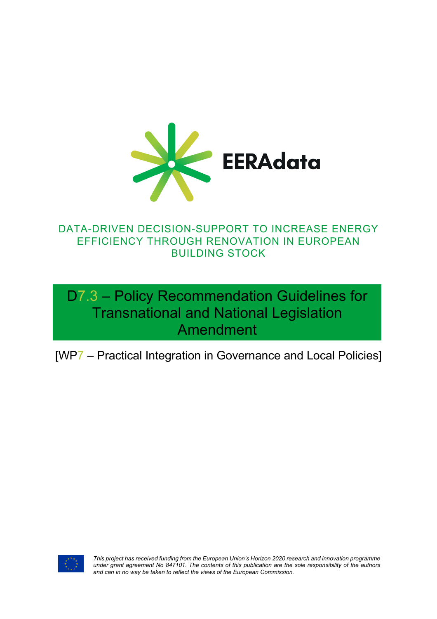

### DATA-DRIVEN DECISION-SUPPORT TO INCREASE ENERGY EFFICIENCY THROUGH RENOVATION IN EUROPEAN BUILDING STOCK

# D7.3 – Policy Recommendation Guidelines for Transnational and National Legislation Amendment

[WP7 – Practical Integration in Governance and Local Policies]



*This project has received funding from the European Union's Horizon 2020 research and innovation programme under grant agreement No 847101. The contents of this publication are the sole responsibility of the authors and can in no way be taken to reflect the views of the European Commission.*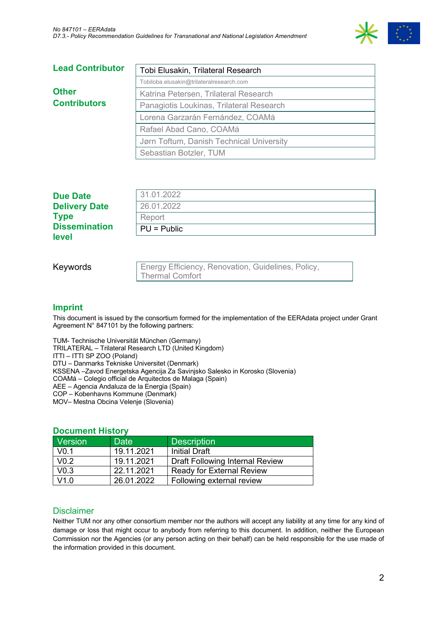

| <b>Lead Contributor</b> | Tobi Elusakin, Trilateral Research       |
|-------------------------|------------------------------------------|
|                         | Tobiloba.elusakin@trilateralresearch.com |
| <b>Other</b>            | Katrina Petersen, Trilateral Research    |
| <b>Contributors</b>     | Panagiotis Loukinas, Trilateral Research |
|                         | Lorena Garzarán Fernández, COAMá         |
|                         | Rafael Abad Cano, COAMá                  |
|                         | Jørn Toftum, Danish Technical University |
|                         | Sebastian Botzler, TUM                   |

| <b>level</b>         |               |
|----------------------|---------------|
| <b>Dissemination</b> | $PU = Public$ |
| <b>Type</b>          | Report        |
| <b>Delivery Date</b> | 26.01.2022    |
| <b>Due Date</b>      | 31.01.2022    |
|                      |               |

Keywords

Energy Efficiency, Renovation, Guidelines, Policy, Thermal Comfort

#### **Imprint**

This document is issued by the consortium formed for the implementation of the EERAdata project under Grant Agreement N° 847101 by the following partners:

TUM- Technische Universität München (Germany) TRILATERAL – Trilateral Research LTD (United Kingdom) ITTI – ITTI SP ZOO (Poland) DTU – Danmarks Tekniske Universitet (Denmark) KSSENA –Zavod Energetska Agencija Za Savinjsko Salesko in Korosko (Slovenia) COAMá – Colegio official de Arquitectos de Malaga (Spain) AEE – Agencia Andaluza de la Energia (Spain) COP – Kobenhavns Kommune (Denmark) MOV– Mestna Obcina Velenje (Slovenia)

#### **Document History**

| Version          | <b>Date</b> | <b>Description</b>                     |
|------------------|-------------|----------------------------------------|
| V <sub>0.1</sub> | 19.11.2021  | <b>Initial Draft</b>                   |
| V <sub>0.2</sub> | 19.11.2021  | <b>Draft Following Internal Review</b> |
| V <sub>0.3</sub> | 22.11.2021  | Ready for External Review              |
| V1.0             | 26.01.2022  | Following external review              |

#### **Disclaimer**

Neither TUM nor any other consortium member nor the authors will accept any liability at any time for any kind of damage or loss that might occur to anybody from referring to this document. In addition, neither the European Commission nor the Agencies (or any person acting on their behalf) can be held responsible for the use made of the information provided in this document.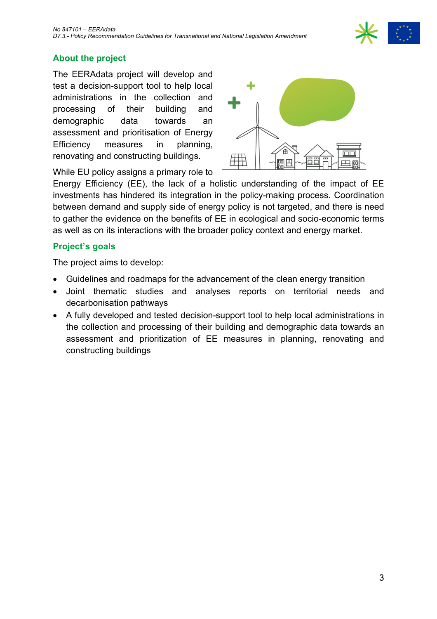### **About the project**

The EERAdata project will develop and test a decision-support tool to help local administrations in the collection and processing of their building and demographic data towards an assessment and prioritisation of Energy Efficiency measures in planning, renovating and constructing buildings.

While EU policy assigns a primary role to

Energy Efficiency (EE), the lack of a holistic understanding of the impact of EE investments has hindered its integration in the policy-making process. Coordination between demand and supply side of energy policy is not targeted, and there is need to gather the evidence on the benefits of EE in ecological and socio-economic terms as well as on its interactions with the broader policy context and energy market.

#### **Project's goals**

The project aims to develop:

- Guidelines and roadmaps for the advancement of the clean energy transition
- Joint thematic studies and analyses reports on territorial needs and decarbonisation pathways
- A fully developed and tested decision-support tool to help local administrations in the collection and processing of their building and demographic data towards an assessment and prioritization of EE measures in planning, renovating and constructing buildings



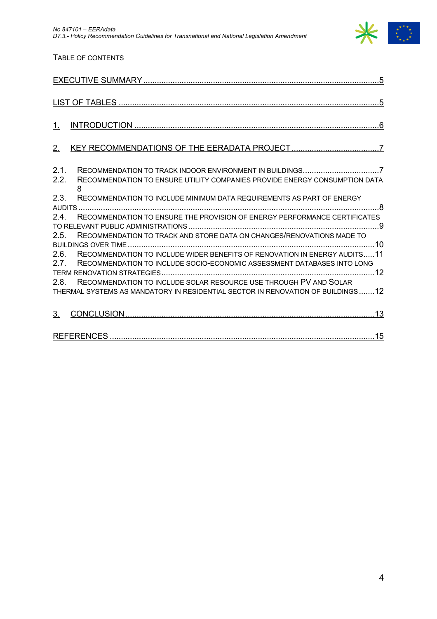

#### TABLE OF CONTENTS

| 1                                                                                                                                                                    |
|----------------------------------------------------------------------------------------------------------------------------------------------------------------------|
| 2.                                                                                                                                                                   |
| 2.1.<br>2.2.<br>RECOMMENDATION TO ENSURE UTILITY COMPANIES PROVIDE ENERGY CONSUMPTION DATA<br>8                                                                      |
| 2.3.<br>RECOMMENDATION TO INCLUDE MINIMUM DATA REQUIREMENTS AS PART OF ENERGY                                                                                        |
| RECOMMENDATION TO ENSURE THE PROVISION OF ENERGY PERFORMANCE CERTIFICATES<br>2.4.                                                                                    |
| RECOMMENDATION TO TRACK AND STORE DATA ON CHANGES/RENOVATIONS MADE TO<br>2.5.                                                                                        |
| 2.6.<br>RECOMMENDATION TO INCLUDE WIDER BENEFITS OF RENOVATION IN ENERGY AUDITS11<br>2.7.<br>RECOMMENDATION TO INCLUDE SOCIO-ECONOMIC ASSESSMENT DATABASES INTO LONG |
|                                                                                                                                                                      |
| RECOMMENDATION TO INCLUDE SOLAR RESOURCE USE THROUGH PV AND SOLAR<br>2.8.                                                                                            |
| THERMAL SYSTEMS AS MANDATORY IN RESIDENTIAL SECTOR IN RENOVATION OF BUILDINGS12                                                                                      |
| 3 <sub>1</sub>                                                                                                                                                       |
|                                                                                                                                                                      |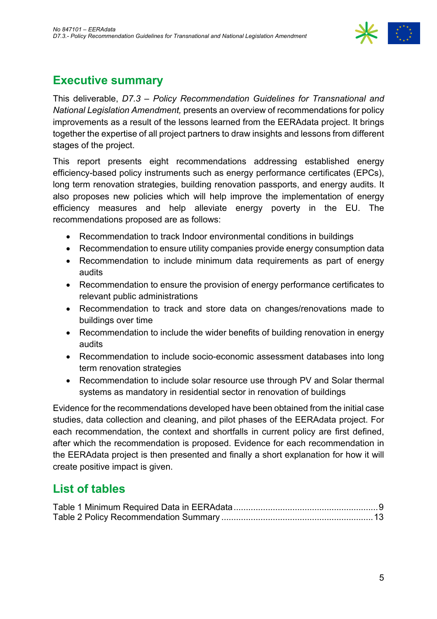

# **Executive summary**

This deliverable, *D7.3 – Policy Recommendation Guidelines for Transnational and National Legislation Amendment,* presents an overview of recommendations for policy improvements as a result of the lessons learned from the EERAdata project. It brings together the expertise of all project partners to draw insights and lessons from different stages of the project.

This report presents eight recommendations addressing established energy efficiency-based policy instruments such as energy performance certificates (EPCs), long term renovation strategies, building renovation passports, and energy audits. It also proposes new policies which will help improve the implementation of energy efficiency measures and help alleviate energy poverty in the EU. The recommendations proposed are as follows:

- Recommendation to track Indoor environmental conditions in buildings
- Recommendation to ensure utility companies provide energy consumption data
- Recommendation to include minimum data requirements as part of energy audits
- Recommendation to ensure the provision of energy performance certificates to relevant public administrations
- Recommendation to track and store data on changes/renovations made to buildings over time
- Recommendation to include the wider benefits of building renovation in energy audits
- Recommendation to include socio-economic assessment databases into long term renovation strategies
- Recommendation to include solar resource use through PV and Solar thermal systems as mandatory in residential sector in renovation of buildings

Evidence for the recommendations developed have been obtained from the initial case studies, data collection and cleaning, and pilot phases of the EERAdata project. For each recommendation, the context and shortfalls in current policy are first defined, after which the recommendation is proposed. Evidence for each recommendation in the EERAdata project is then presented and finally a short explanation for how it will create positive impact is given.

## **List of tables**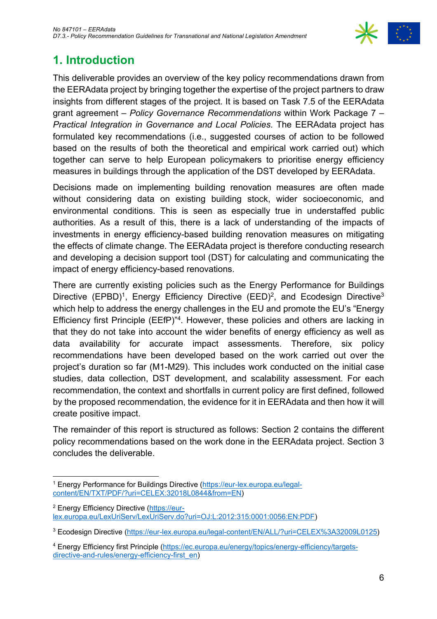

# **1. Introduction**

This deliverable provides an overview of the key policy recommendations drawn from the EERAdata project by bringing together the expertise of the project partners to draw insights from different stages of the project. It is based on Task 7.5 of the EERAdata grant agreement – *Policy Governance Recommendations* within Work Package 7 – *Practical Integration in Governance and Local Policies*. The EERAdata project has formulated key recommendations (i.e., suggested courses of action to be followed based on the results of both the theoretical and empirical work carried out) which together can serve to help European policymakers to prioritise energy efficiency measures in buildings through the application of the DST developed by EERAdata.

Decisions made on implementing building renovation measures are often made without considering data on existing building stock, wider socioeconomic, and environmental conditions. This is seen as especially true in understaffed public authorities. As a result of this, there is a lack of understanding of the impacts of investments in energy efficiency-based building renovation measures on mitigating the effects of climate change. The EERAdata project is therefore conducting research and developing a decision support tool (DST) for calculating and communicating the impact of energy efficiency-based renovations.

There are currently existing policies such as the Energy Performance for Buildings Directive (EPBD)<sup>1</sup>, Energy Efficiency Directive (EED)<sup>2</sup>, and Ecodesign Directive<sup>3</sup> which help to address the energy challenges in the EU and promote the EU's "Energy Efficiency first Principle (EEfP)" 4. However, these policies and others are lacking in that they do not take into account the wider benefits of energy efficiency as well as data availability for accurate impact assessments. Therefore, six policy recommendations have been developed based on the work carried out over the project's duration so far (M1-M29). This includes work conducted on the initial case studies, data collection, DST development, and scalability assessment. For each recommendation, the context and shortfalls in current policy are first defined, followed by the proposed recommendation, the evidence for it in EERAdata and then how it will create positive impact.

The remainder of this report is structured as follows: Section 2 contains the different policy recommendations based on the work done in the EERAdata project. Section 3 concludes the deliverable.

<sup>1</sup> Energy Performance for Buildings Directive (https://eur-lex.europa.eu/legalcontent/EN/TXT/PDF/?uri=CELEX:32018L0844&from=EN)

<sup>&</sup>lt;sup>2</sup> Energy Efficiency Directive (https://eurlex.europa.eu/LexUriServ/LexUriServ.do?uri=OJ:L:2012:315:0001:0056:EN:PDF)

<sup>3</sup> Ecodesign Directive (https://eur-lex.europa.eu/legal-content/EN/ALL/?uri=CELEX%3A32009L0125)

<sup>4</sup> Energy Efficiency first Principle (https://ec.europa.eu/energy/topics/energy-efficiency/targetsdirective-and-rules/energy-efficiency-first\_en)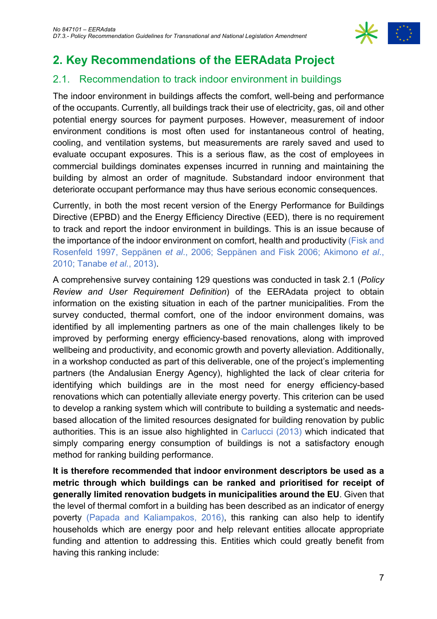

# **2. Key Recommendations of the EERAdata Project**

### 2.1. Recommendation to track indoor environment in buildings

The indoor environment in buildings affects the comfort, well-being and performance of the occupants. Currently, all buildings track their use of electricity, gas, oil and other potential energy sources for payment purposes. However, measurement of indoor environment conditions is most often used for instantaneous control of heating, cooling, and ventilation systems, but measurements are rarely saved and used to evaluate occupant exposures. This is a serious flaw, as the cost of employees in commercial buildings dominates expenses incurred in running and maintaining the building by almost an order of magnitude. Substandard indoor environment that deteriorate occupant performance may thus have serious economic consequences.

Currently, in both the most recent version of the Energy Performance for Buildings Directive (EPBD) and the Energy Efficiency Directive (EED), there is no requirement to track and report the indoor environment in buildings. This is an issue because of the importance of the indoor environment on comfort, health and productivity (Fisk and Rosenfeld 1997, Seppänen *et al*., 2006; Seppänen and Fisk 2006; Akimono *et al*., 2010; Tanabe *et al.*, 2013).

A comprehensive survey containing 129 questions was conducted in task 2.1 (*Policy Review and User Requirement Definition*) of the EERAdata project to obtain information on the existing situation in each of the partner municipalities. From the survey conducted, thermal comfort, one of the indoor environment domains, was identified by all implementing partners as one of the main challenges likely to be improved by performing energy efficiency-based renovations, along with improved wellbeing and productivity, and economic growth and poverty alleviation. Additionally, in a workshop conducted as part of this deliverable, one of the project's implementing partners (the Andalusian Energy Agency), highlighted the lack of clear criteria for identifying which buildings are in the most need for energy efficiency-based renovations which can potentially alleviate energy poverty. This criterion can be used to develop a ranking system which will contribute to building a systematic and needsbased allocation of the limited resources designated for building renovation by public authorities. This is an issue also highlighted in Carlucci (2013) which indicated that simply comparing energy consumption of buildings is not a satisfactory enough method for ranking building performance.

**It is therefore recommended that indoor environment descriptors be used as a metric through which buildings can be ranked and prioritised for receipt of generally limited renovation budgets in municipalities around the EU**. Given that the level of thermal comfort in a building has been described as an indicator of energy poverty (Papada and Kaliampakos, 2016), this ranking can also help to identify households which are energy poor and help relevant entities allocate appropriate funding and attention to addressing this. Entities which could greatly benefit from having this ranking include: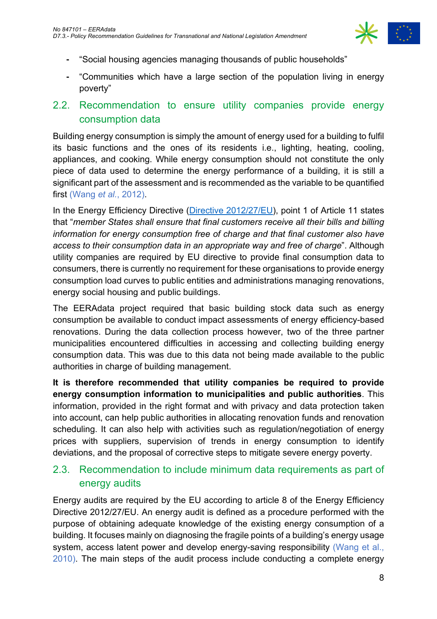

- ⁃ "Social housing agencies managing thousands of public households"
- ⁃ "Communities which have a large section of the population living in energy poverty"

#### 2.2. Recommendation to ensure utility companies provide energy consumption data

Building energy consumption is simply the amount of energy used for a building to fulfil its basic functions and the ones of its residents i.e., lighting, heating, cooling, appliances, and cooking. While energy consumption should not constitute the only piece of data used to determine the energy performance of a building, it is still a significant part of the assessment and is recommended as the variable to be quantified first (Wang *et al.*, 2012).

In the Energy Efficiency Directive (Directive 2012/27/EU), point 1 of Article 11 states that "*member States shall ensure that final customers receive all their bills and billing information for energy consumption free of charge and that final customer also have access to their consumption data in an appropriate way and free of charge*". Although utility companies are required by EU directive to provide final consumption data to consumers, there is currently no requirement for these organisations to provide energy consumption load curves to public entities and administrations managing renovations, energy social housing and public buildings.

The EERAdata project required that basic building stock data such as energy consumption be available to conduct impact assessments of energy efficiency-based renovations. During the data collection process however, two of the three partner municipalities encountered difficulties in accessing and collecting building energy consumption data. This was due to this data not being made available to the public authorities in charge of building management.

**It is therefore recommended that utility companies be required to provide energy consumption information to municipalities and public authorities**. This information, provided in the right format and with privacy and data protection taken into account, can help public authorities in allocating renovation funds and renovation scheduling. It can also help with activities such as regulation/negotiation of energy prices with suppliers, supervision of trends in energy consumption to identify deviations, and the proposal of corrective steps to mitigate severe energy poverty.

#### 2.3. Recommendation to include minimum data requirements as part of energy audits

Energy audits are required by the EU according to article 8 of the Energy Efficiency Directive 2012/27/EU. An energy audit is defined as a procedure performed with the purpose of obtaining adequate knowledge of the existing energy consumption of a building. It focuses mainly on diagnosing the fragile points of a building's energy usage system, access latent power and develop energy-saving responsibility (Wang et al., 2010). The main steps of the audit process include conducting a complete energy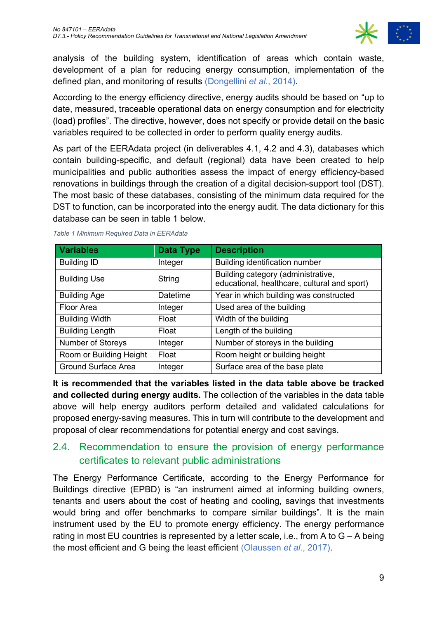

analysis of the building system, identification of areas which contain waste, development of a plan for reducing energy consumption, implementation of the defined plan, and monitoring of results (Dongellini *et al.*, 2014).

According to the energy efficiency directive, energy audits should be based on "up to date, measured, traceable operational data on energy consumption and for electricity (load) profiles". The directive, however, does not specify or provide detail on the basic variables required to be collected in order to perform quality energy audits.

As part of the EERAdata project (in deliverables 4.1, 4.2 and 4.3), databases which contain building-specific, and default (regional) data have been created to help municipalities and public authorities assess the impact of energy efficiency-based renovations in buildings through the creation of a digital decision-support tool (DST). The most basic of these databases, consisting of the minimum data required for the DST to function, can be incorporated into the energy audit. The data dictionary for this database can be seen in table 1 below.

| <b>Variables</b>        | <b>Data Type</b> | <b>Description</b>                                                                 |
|-------------------------|------------------|------------------------------------------------------------------------------------|
| <b>Building ID</b>      | Integer          | Building identification number                                                     |
| <b>Building Use</b>     | String           | Building category (administrative,<br>educational, healthcare, cultural and sport) |
| <b>Building Age</b>     | Datetime         | Year in which building was constructed                                             |
| <b>Floor Area</b>       | Integer          | Used area of the building                                                          |
| <b>Building Width</b>   | Float            | Width of the building                                                              |
| <b>Building Length</b>  | Float            | Length of the building                                                             |
| Number of Storeys       | Integer          | Number of storeys in the building                                                  |
| Room or Building Height | Float            | Room height or building height                                                     |
| Ground Surface Area     | Integer          | Surface area of the base plate                                                     |

*Table 1 Minimum Required Data in EERAdata*

**It is recommended that the variables listed in the data table above be tracked and collected during energy audits.** The collection of the variables in the data table above will help energy auditors perform detailed and validated calculations for proposed energy-saving measures. This in turn will contribute to the development and proposal of clear recommendations for potential energy and cost savings.

### 2.4. Recommendation to ensure the provision of energy performance certificates to relevant public administrations

The Energy Performance Certificate, according to the Energy Performance for Buildings directive (EPBD) is "an instrument aimed at informing building owners, tenants and users about the cost of heating and cooling, savings that investments would bring and offer benchmarks to compare similar buildings". It is the main instrument used by the EU to promote energy efficiency. The energy performance rating in most EU countries is represented by a letter scale, i.e., from A to  $G - A$  being the most efficient and G being the least efficient (Olaussen *et al*., 2017).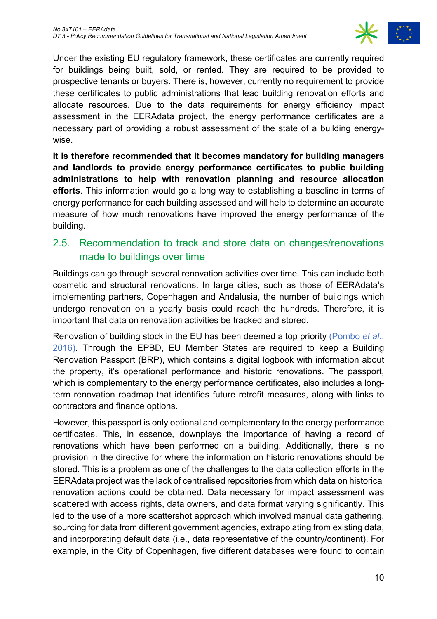

Under the existing EU regulatory framework, these certificates are currently required for buildings being built, sold, or rented. They are required to be provided to prospective tenants or buyers. There is, however, currently no requirement to provide these certificates to public administrations that lead building renovation efforts and allocate resources. Due to the data requirements for energy efficiency impact assessment in the EERAdata project, the energy performance certificates are a necessary part of providing a robust assessment of the state of a building energywise.

**It is therefore recommended that it becomes mandatory for building managers and landlords to provide energy performance certificates to public building administrations to help with renovation planning and resource allocation efforts**. This information would go a long way to establishing a baseline in terms of energy performance for each building assessed and will help to determine an accurate measure of how much renovations have improved the energy performance of the building.

### 2.5. Recommendation to track and store data on changes/renovations made to buildings over time

Buildings can go through several renovation activities over time. This can include both cosmetic and structural renovations. In large cities, such as those of EERAdata's implementing partners, Copenhagen and Andalusia, the number of buildings which undergo renovation on a yearly basis could reach the hundreds. Therefore, it is important that data on renovation activities be tracked and stored.

Renovation of building stock in the EU has been deemed a top priority (Pombo *et al*., 2016). Through the EPBD, EU Member States are required to keep a Building Renovation Passport (BRP), which contains a digital logbook with information about the property, it's operational performance and historic renovations. The passport, which is complementary to the energy performance certificates, also includes a longterm renovation roadmap that identifies future retrofit measures, along with links to contractors and finance options.

However, this passport is only optional and complementary to the energy performance certificates. This, in essence, downplays the importance of having a record of renovations which have been performed on a building. Additionally, there is no provision in the directive for where the information on historic renovations should be stored. This is a problem as one of the challenges to the data collection efforts in the EERAdata project was the lack of centralised repositories from which data on historical renovation actions could be obtained. Data necessary for impact assessment was scattered with access rights, data owners, and data format varying significantly. This led to the use of a more scattershot approach which involved manual data gathering, sourcing for data from different government agencies, extrapolating from existing data, and incorporating default data (i.e., data representative of the country/continent). For example, in the City of Copenhagen, five different databases were found to contain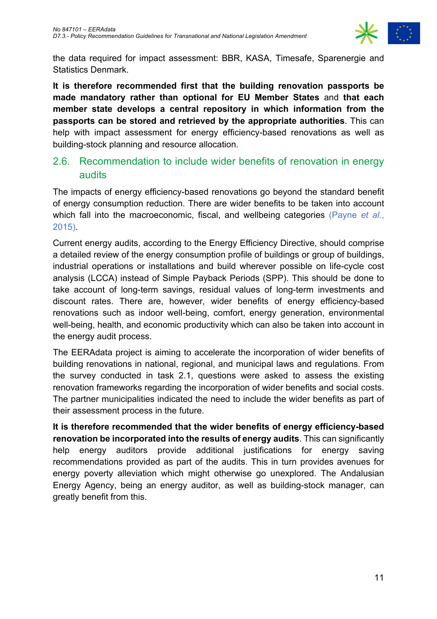

the data required for impact assessment: BBR, KASA, Timesafe, Sparenergie and Statistics Denmark.

**It is therefore recommended first that the building renovation passports be made mandatory rather than optional for EU Member States** and **that each member state develops a central repository in which information from the passports can be stored and retrieved by the appropriate authorities**. This can help with impact assessment for energy efficiency-based renovations as well as building-stock planning and resource allocation.

#### 2.6. Recommendation to include wider benefits of renovation in energy audits

The impacts of energy efficiency-based renovations go beyond the standard benefit of energy consumption reduction. There are wider benefits to be taken into account which fall into the macroeconomic, fiscal, and wellbeing categories (Payne *et al*., 2015).

Current energy audits, according to the Energy Efficiency Directive, should comprise a detailed review of the energy consumption profile of buildings or group of buildings, industrial operations or installations and build wherever possible on life-cycle cost analysis (LCCA) instead of Simple Payback Periods (SPP). This should be done to take account of long-term savings, residual values of long-term investments and discount rates. There are, however, wider benefits of energy efficiency-based renovations such as indoor well-being, comfort, energy generation, environmental well-being, health, and economic productivity which can also be taken into account in the energy audit process.

The EERAdata project is aiming to accelerate the incorporation of wider benefits of building renovations in national, regional, and municipal laws and regulations. From the survey conducted in task 2.1, questions were asked to assess the existing renovation frameworks regarding the incorporation of wider benefits and social costs. The partner municipalities indicated the need to include the wider benefits as part of their assessment process in the future.

**It is therefore recommended that the wider benefits of energy efficiency-based renovation be incorporated into the results of energy audits**. This can significantly help energy auditors provide additional justifications for energy saving recommendations provided as part of the audits. This in turn provides avenues for energy poverty alleviation which might otherwise go unexplored. The Andalusian Energy Agency, being an energy auditor, as well as building-stock manager, can greatly benefit from this.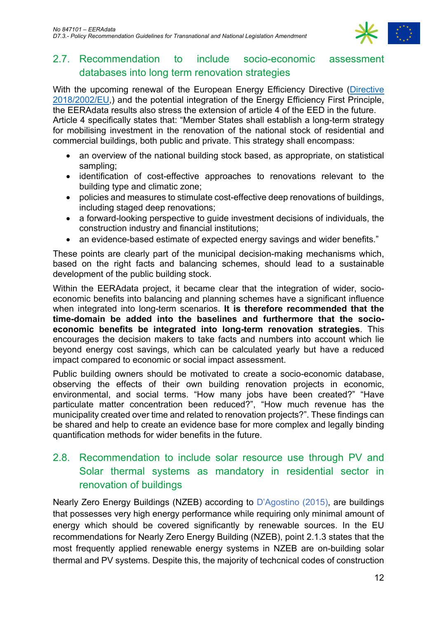

#### 2.7. Recommendation to include socio-economic assessment databases into long term renovation strategies

With the upcoming renewal of the European Energy Efficiency Directive (Directive 2018/2002/EU,) and the potential integration of the Energy Efficiency First Principle, the EERAdata results also stress the extension of article 4 of the EED in the future.

Article 4 specifically states that: "Member States shall establish a long-term strategy for mobilising investment in the renovation of the national stock of residential and commercial buildings, both public and private. This strategy shall encompass:

- an overview of the national building stock based, as appropriate, on statistical sampling;
- identification of cost-effective approaches to renovations relevant to the building type and climatic zone;
- policies and measures to stimulate cost-effective deep renovations of buildings, including staged deep renovations;
- a forward-looking perspective to guide investment decisions of individuals, the construction industry and financial institutions;
- an evidence-based estimate of expected energy savings and wider benefits."

These points are clearly part of the municipal decision-making mechanisms which, based on the right facts and balancing schemes, should lead to a sustainable development of the public building stock.

Within the EERAdata project, it became clear that the integration of wider, socioeconomic benefits into balancing and planning schemes have a significant influence when integrated into long-term scenarios. **It is therefore recommended that the time-domain be added into the baselines and furthermore that the socioeconomic benefits be integrated into long-term renovation strategies**. This encourages the decision makers to take facts and numbers into account which lie beyond energy cost savings, which can be calculated yearly but have a reduced impact compared to economic or social impact assessment.

Public building owners should be motivated to create a socio-economic database, observing the effects of their own building renovation projects in economic, environmental, and social terms. "How many jobs have been created?" "Have particulate matter concentration been reduced?", "How much revenue has the municipality created over time and related to renovation projects?". These findings can be shared and help to create an evidence base for more complex and legally binding quantification methods for wider benefits in the future.

### 2.8. Recommendation to include solar resource use through PV and Solar thermal systems as mandatory in residential sector in renovation of buildings

Nearly Zero Energy Buildings (NZEB) according to D'Agostino (2015), are buildings that possesses very high energy performance while requiring only minimal amount of energy which should be covered significantly by renewable sources. In the EU recommendations for Nearly Zero Energy Building (NZEB), point 2.1.3 states that the most frequently applied renewable energy systems in NZEB are on-building solar thermal and PV systems. Despite this, the majority of techcnical codes of construction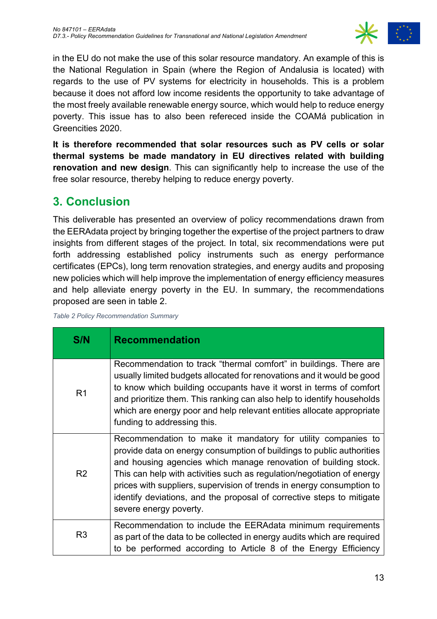

in the EU do not make the use of this solar resource mandatory. An example of this is the National Regulation in Spain (where the Region of Andalusia is located) with regards to the use of PV systems for electricity in households. This is a problem because it does not afford low income residents the opportunity to take advantage of the most freely available renewable energy source, which would help to reduce energy poverty. This issue has to also been refereced inside the COAMá publication in Greencities 2020.

**It is therefore recommended that solar resources such as PV cells or solar thermal systems be made mandatory in EU directives related with building renovation and new design**. This can significantly help to increase the use of the free solar resource, thereby helping to reduce energy poverty.

# **3. Conclusion**

This deliverable has presented an overview of policy recommendations drawn from the EERAdata project by bringing together the expertise of the project partners to draw insights from different stages of the project. In total, six recommendations were put forth addressing established policy instruments such as energy performance certificates (EPCs), long term renovation strategies, and energy audits and proposing new policies which will help improve the implementation of energy efficiency measures and help alleviate energy poverty in the EU. In summary, the recommendations proposed are seen in table 2.

*Table 2 Policy Recommendation Summary*

| S/N            | <b>Recommendation</b>                                                                                                                                                                                                                                                                                                                                                                                                                                          |
|----------------|----------------------------------------------------------------------------------------------------------------------------------------------------------------------------------------------------------------------------------------------------------------------------------------------------------------------------------------------------------------------------------------------------------------------------------------------------------------|
| R <sub>1</sub> | Recommendation to track "thermal comfort" in buildings. There are<br>usually limited budgets allocated for renovations and it would be good<br>to know which building occupants have it worst in terms of comfort<br>and prioritize them. This ranking can also help to identify households<br>which are energy poor and help relevant entities allocate appropriate<br>funding to addressing this.                                                            |
| R <sub>2</sub> | Recommendation to make it mandatory for utility companies to<br>provide data on energy consumption of buildings to public authorities<br>and housing agencies which manage renovation of building stock.<br>This can help with activities such as regulation/negotiation of energy<br>prices with suppliers, supervision of trends in energy consumption to<br>identify deviations, and the proposal of corrective steps to mitigate<br>severe energy poverty. |
| R <sub>3</sub> | Recommendation to include the EERAdata minimum requirements<br>as part of the data to be collected in energy audits which are required<br>to be performed according to Article 8 of the Energy Efficiency                                                                                                                                                                                                                                                      |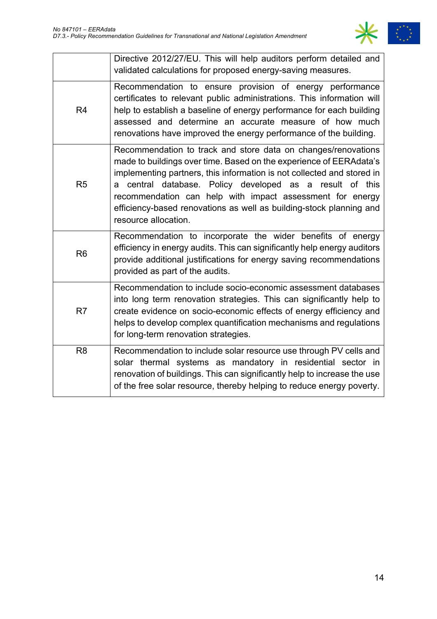

|                | Directive 2012/27/EU. This will help auditors perform detailed and<br>validated calculations for proposed energy-saving measures.                                                                                                                                                                                                                                                                                                        |
|----------------|------------------------------------------------------------------------------------------------------------------------------------------------------------------------------------------------------------------------------------------------------------------------------------------------------------------------------------------------------------------------------------------------------------------------------------------|
| R <sub>4</sub> | Recommendation to ensure provision of energy performance<br>certificates to relevant public administrations. This information will<br>help to establish a baseline of energy performance for each building<br>assessed and determine an accurate measure of how much<br>renovations have improved the energy performance of the building.                                                                                                |
| R <sub>5</sub> | Recommendation to track and store data on changes/renovations<br>made to buildings over time. Based on the experience of EERAdata's<br>implementing partners, this information is not collected and stored in<br>central database. Policy developed as a result of this<br>a<br>recommendation can help with impact assessment for energy<br>efficiency-based renovations as well as building-stock planning and<br>resource allocation. |
| R <sub>6</sub> | Recommendation to incorporate the wider benefits of energy<br>efficiency in energy audits. This can significantly help energy auditors<br>provide additional justifications for energy saving recommendations<br>provided as part of the audits.                                                                                                                                                                                         |
| R <sub>7</sub> | Recommendation to include socio-economic assessment databases<br>into long term renovation strategies. This can significantly help to<br>create evidence on socio-economic effects of energy efficiency and<br>helps to develop complex quantification mechanisms and regulations<br>for long-term renovation strategies.                                                                                                                |
| R <sub>8</sub> | Recommendation to include solar resource use through PV cells and<br>solar thermal systems as mandatory in residential sector in<br>renovation of buildings. This can significantly help to increase the use<br>of the free solar resource, thereby helping to reduce energy poverty.                                                                                                                                                    |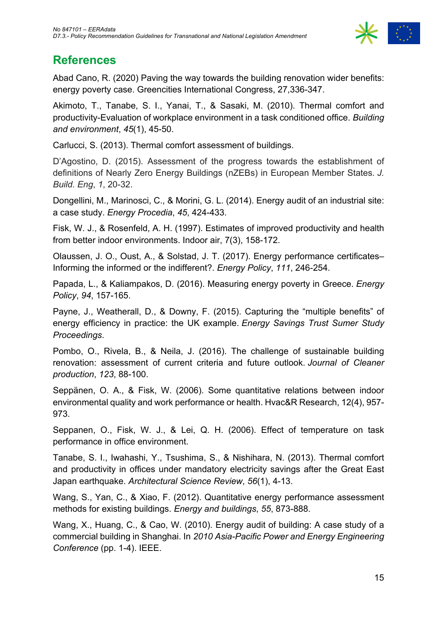

## **References**

Abad Cano, R. (2020) Paving the way towards the building renovation wider benefits: energy poverty case. Greencities International Congress, 27,336-347.

Akimoto, T., Tanabe, S. I., Yanai, T., & Sasaki, M. (2010). Thermal comfort and productivity-Evaluation of workplace environment in a task conditioned office. *Building and environment*, *45*(1), 45-50.

Carlucci, S. (2013). Thermal comfort assessment of buildings.

D'Agostino, D. (2015). Assessment of the progress towards the establishment of definitions of Nearly Zero Energy Buildings (nZEBs) in European Member States. *J. Build. Eng*, *1*, 20-32.

Dongellini, M., Marinosci, C., & Morini, G. L. (2014). Energy audit of an industrial site: a case study. *Energy Procedia*, *45*, 424-433.

Fisk, W. J., & Rosenfeld, A. H. (1997). Estimates of improved productivity and health from better indoor environments. Indoor air, 7(3), 158-172.

Olaussen, J. O., Oust, A., & Solstad, J. T. (2017). Energy performance certificates– Informing the informed or the indifferent?. *Energy Policy*, *111*, 246-254.

Papada, L., & Kaliampakos, D. (2016). Measuring energy poverty in Greece. *Energy Policy*, *94*, 157-165.

Payne, J., Weatherall, D., & Downy, F. (2015). Capturing the "multiple benefits" of energy efficiency in practice: the UK example. *Energy Savings Trust Sumer Study Proceedings*.

Pombo, O., Rivela, B., & Neila, J. (2016). The challenge of sustainable building renovation: assessment of current criteria and future outlook. *Journal of Cleaner production*, *123*, 88-100.

Seppänen, O. A., & Fisk, W. (2006). Some quantitative relations between indoor environmental quality and work performance or health. Hvac&R Research, 12(4), 957- 973.

Seppanen, O., Fisk, W. J., & Lei, Q. H. (2006). Effect of temperature on task performance in office environment.

Tanabe, S. I., Iwahashi, Y., Tsushima, S., & Nishihara, N. (2013). Thermal comfort and productivity in offices under mandatory electricity savings after the Great East Japan earthquake. *Architectural Science Review*, *56*(1), 4-13.

Wang, S., Yan, C., & Xiao, F. (2012). Quantitative energy performance assessment methods for existing buildings. *Energy and buildings*, *55*, 873-888.

Wang, X., Huang, C., & Cao, W. (2010). Energy audit of building: A case study of a commercial building in Shanghai. In *2010 Asia-Pacific Power and Energy Engineering Conference* (pp. 1-4). IEEE.